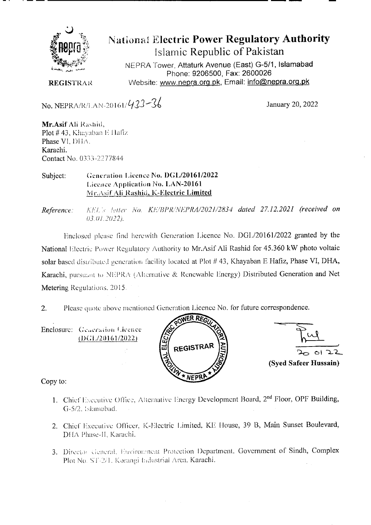

**National Electric Power Regulatory Authority** Islamic Republic of Pakistan

NEPRA Tower, Attaturk Avenue (East) G-5/1, Islamabad Phone: 9206500, Fax: 2600026 Website: www.nepra.org.pk, Email: info@nepra.org.pk

**REGISTRAR** 

No. NEPRA/R/LAN-20161/433-36

January 20, 2022

Mr.Asif Ali Rashid, Plot #43, Khayaban E Hafiz Phase VI, DHA. Karachi. Contact No. 0333-2277844

Generation Licence No. DGL/20161/2022 Subject: Licence Application No. LAN-20161 Mr. Asif Ali Rashid, K-Electric Limited

KEL's letter No. KE/BPR/NEPRA/2021/2834 dated 27.12.2021 (received on Reference:  $03.01.2022$ ).

Enclosed please find herewith Generation Licence No. DGL/20161/2022 granted by the National Electric Power Regulatory Authority to Mr.Asif Ali Rashid for 45.360 kW photo voltaic solar based distributed generation facility located at Plot #43, Khayaban E Hafiz, Phase VI, DHA, Karachi, pursuant to NEPRA (Alternative & Renewable Energy) Distributed Generation and Net Metering Regulations, 2015.

Please quote above mentioned Generation Licence No. for future correspondence.  $2.$ 

Enclosure: Generation Licence  $(DGL/20161/2022)$ 





Copy to:

- 1. Chief Executive Office, Alternative Energy Development Board, 2<sup>nd</sup> Floor, OPF Building, G-5/2, Islamabad.
- 2. Chief Executive Officer, K-Electric Limited, KE House, 39 B, Main Sunset Boulevard, DHA Phase-II, Karachi.
- 3. Director General, Environment Protection Department, Government of Sindh, Complex Plot No. ST-2/1. Korangi Industrial Area. Karachi.